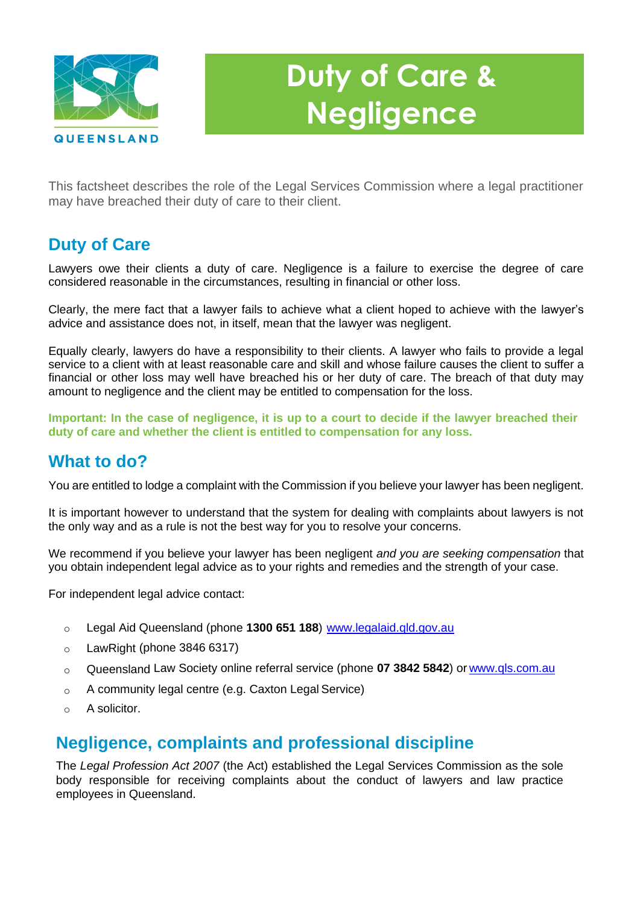

# **Duty of Care & Negligence**

This factsheet describes the role of the Legal Services Commission where a legal practitioner may have breached their duty of care to their client.

# **Duty of Care**

Lawyers owe their clients a duty of care. Negligence is a failure to exercise the degree of care considered reasonable in the circumstances, resulting in financial or other loss.

Clearly, the mere fact that a lawyer fails to achieve what a client hoped to achieve with the lawyer's advice and assistance does not, in itself, mean that the lawyer was negligent.

Equally clearly, lawyers do have a responsibility to their clients. A lawyer who fails to provide a legal service to a client with at least reasonable care and skill and whose failure causes the client to suffer a financial or other loss may well have breached his or her duty of care. The breach of that duty may amount to negligence and the client may be entitled to compensation for the loss.

**Important: In the case of negligence, it is up to a court to decide if the lawyer breached their duty of care and whether the client is entitled to compensation for any loss.**

## **What to do?**

You are entitled to lodge a complaint with the Commission if you believe your lawyer has been negligent.

It is important however to understand that the system for dealing with complaints about lawyers is not the only way and as a rule is not the best way for you to resolve your concerns.

We recommend if you believe your lawyer has been negligent *and you are seeking compensation* that you obtain independent legal advice as to your rights and remedies and the strength of your case.

For independent legal advice contact:

- o Legal Aid Queensland (phone **1300 651 188**) [www.legalaid.qld.gov.au](http://www.legalaid.qld.gov.au/)
- o LawRight (phone 3846 6317)
- o Queensland Law Society online referral service (phone **07 3842 5842**) or [www.qls.com.au](http://www.qls.com.au/)
- $\circ$  A community legal centre (e.g. Caxton Legal Service)
- o A solicitor.

## **Negligence, complaints and professional discipline**

The *Legal Profession Act 2007* (the Act) established the Legal Services Commission as the sole body responsible for receiving complaints about the conduct of lawyers and law practice employees in Queensland.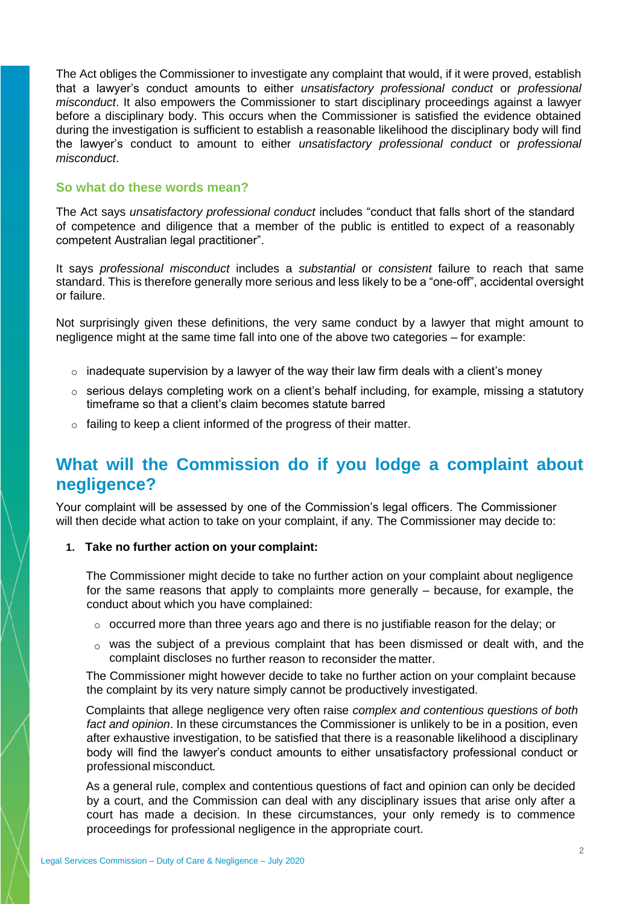The Act obliges the Commissioner to investigate any complaint that would, if it were proved, establish that a lawyer's conduct amounts to either *unsatisfactory professional conduct* or *professional misconduct*. It also empowers the Commissioner to start disciplinary proceedings against a lawyer before a disciplinary body. This occurs when the Commissioner is satisfied the evidence obtained during the investigation is sufficient to establish a reasonable likelihood the disciplinary body will find the lawyer's conduct to amount to either *unsatisfactory professional conduct* or *professional misconduct*.

#### **So what do these words mean?**

The Act says *unsatisfactory professional conduct* includes "conduct that falls short of the standard of competence and diligence that a member of the public is entitled to expect of a reasonably competent Australian legal practitioner".

It says *professional misconduct* includes a *substantial* or *consistent* failure to reach that same standard. This is therefore generally more serious and less likely to be a "one-off", accidental oversight or failure.

Not surprisingly given these definitions, the very same conduct by a lawyer that might amount to negligence might at the same time fall into one of the above two categories – for example:

- $\circ$  inadequate supervision by a lawyer of the way their law firm deals with a client's money
- $\circ$  serious delays completing work on a client's behalf including, for example, missing a statutory timeframe so that a client's claim becomes statute barred
- $\circ$  failing to keep a client informed of the progress of their matter.

## **What will the Commission do if you lodge a complaint about negligence?**

Your complaint will be assessed by one of the Commission's legal officers. The Commissioner will then decide what action to take on your complaint, if any. The Commissioner may decide to:

#### **1. Take no further action on your complaint:**

The Commissioner might decide to take no further action on your complaint about negligence for the same reasons that apply to complaints more generally – because, for example, the conduct about which you have complained:

- o occurred more than three years ago and there is no justifiable reason for the delay; or
- $\circ$  was the subject of a previous complaint that has been dismissed or dealt with, and the complaint discloses no further reason to reconsider the matter.

The Commissioner might however decide to take no further action on your complaint because the complaint by its very nature simply cannot be productively investigated.

Complaints that allege negligence very often raise *complex and contentious questions of both fact and opinion*. In these circumstances the Commissioner is unlikely to be in a position, even after exhaustive investigation, to be satisfied that there is a reasonable likelihood a disciplinary body will find the lawyer's conduct amounts to either unsatisfactory professional conduct or professional misconduct*.*

As a general rule, complex and contentious questions of fact and opinion can only be decided by a court, and the Commission can deal with any disciplinary issues that arise only after a court has made a decision. In these circumstances, your only remedy is to commence proceedings for professional negligence in the appropriate court.